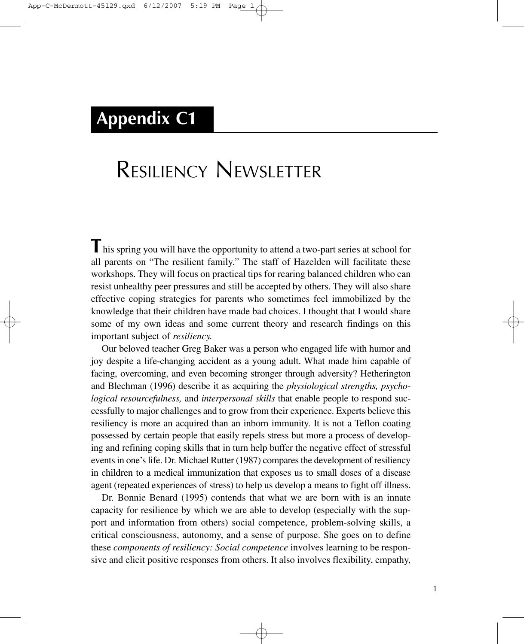## **Appendix C1**

# RESILIENCY NEWSLETTER

**This spring you will have the opportunity to attend a two-part series at school for** all parents on "The resilient family." The staff of Hazelden will facilitate these workshops. They will focus on practical tips for rearing balanced children who can resist unhealthy peer pressures and still be accepted by others. They will also share effective coping strategies for parents who sometimes feel immobilized by the knowledge that their children have made bad choices. I thought that I would share some of my own ideas and some current theory and research findings on this important subject of *resiliency.*

Our beloved teacher Greg Baker was a person who engaged life with humor and joy despite a life-changing accident as a young adult. What made him capable of facing, overcoming, and even becoming stronger through adversity? Hetherington and Blechman (1996) describe it as acquiring the *physiological strengths, psychological resourcefulness,* and *interpersonal skills* that enable people to respond successfully to major challenges and to grow from their experience. Experts believe this resiliency is more an acquired than an inborn immunity. It is not a Teflon coating possessed by certain people that easily repels stress but more a process of developing and refining coping skills that in turn help buffer the negative effect of stressful events in one's life. Dr. Michael Rutter (1987) compares the development of resiliency in children to a medical immunization that exposes us to small doses of a disease agent (repeated experiences of stress) to help us develop a means to fight off illness.

Dr. Bonnie Benard (1995) contends that what we are born with is an innate capacity for resilience by which we are able to develop (especially with the support and information from others) social competence, problem-solving skills, a critical consciousness, autonomy, and a sense of purpose. She goes on to define these *components of resiliency: Social competence* involves learning to be responsive and elicit positive responses from others. It also involves flexibility, empathy,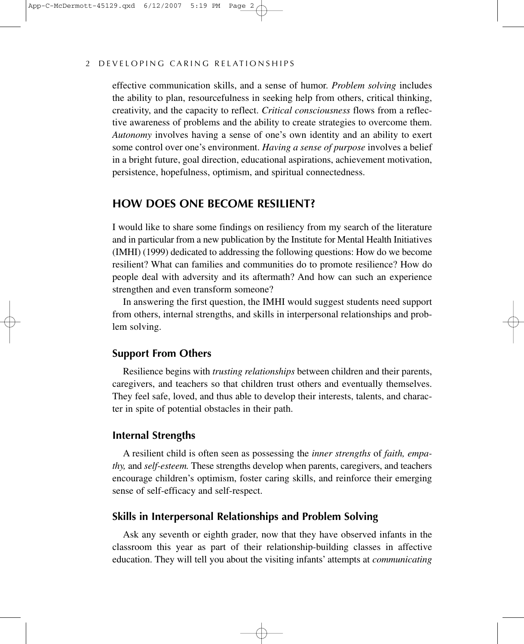#### 2 DEVELOPING CARING RELATIONSHIPS

effective communication skills, and a sense of humor. *Problem solving* includes the ability to plan, resourcefulness in seeking help from others, critical thinking, creativity, and the capacity to reflect. *Critical consciousness* flows from a reflective awareness of problems and the ability to create strategies to overcome them. *Autonomy* involves having a sense of one's own identity and an ability to exert some control over one's environment. *Having a sense of purpose* involves a belief in a bright future, goal direction, educational aspirations, achievement motivation, persistence, hopefulness, optimism, and spiritual connectedness.

## **HOW DOES ONE BECOME RESILIENT?**

I would like to share some findings on resiliency from my search of the literature and in particular from a new publication by the Institute for Mental Health Initiatives (IMHI) (1999) dedicated to addressing the following questions: How do we become resilient? What can families and communities do to promote resilience? How do people deal with adversity and its aftermath? And how can such an experience strengthen and even transform someone?

In answering the first question, the IMHI would suggest students need support from others, internal strengths, and skills in interpersonal relationships and problem solving.

#### **Support From Others**

Resilience begins with *trusting relationships* between children and their parents, caregivers, and teachers so that children trust others and eventually themselves. They feel safe, loved, and thus able to develop their interests, talents, and character in spite of potential obstacles in their path.

#### **Internal Strengths**

A resilient child is often seen as possessing the *inner strengths* of *faith, empathy,* and *self-esteem.* These strengths develop when parents, caregivers, and teachers encourage children's optimism, foster caring skills, and reinforce their emerging sense of self-efficacy and self-respect.

### **Skills in Interpersonal Relationships and Problem Solving**

Ask any seventh or eighth grader, now that they have observed infants in the classroom this year as part of their relationship-building classes in affective education. They will tell you about the visiting infants' attempts at *communicating*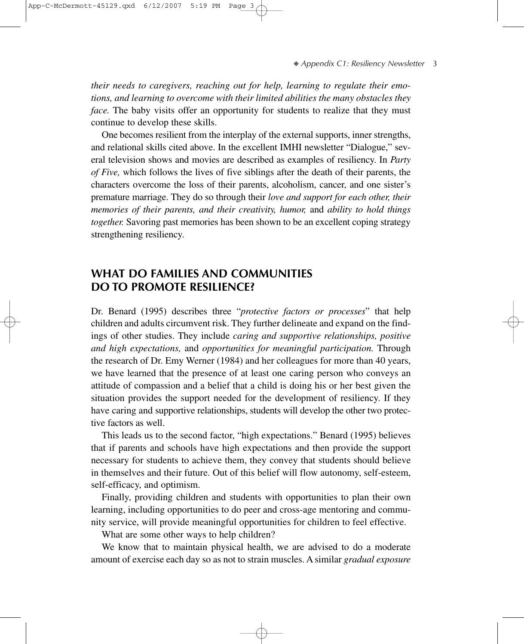*their needs to caregivers, reaching out for help, learning to regulate their emotions, and learning to overcome with their limited abilities the many obstacles they face.* The baby visits offer an opportunity for students to realize that they must continue to develop these skills.

One becomes resilient from the interplay of the external supports, inner strengths, and relational skills cited above. In the excellent IMHI newsletter "Dialogue," several television shows and movies are described as examples of resiliency. In *Party of Five,* which follows the lives of five siblings after the death of their parents, the characters overcome the loss of their parents, alcoholism, cancer, and one sister's premature marriage. They do so through their *love and support for each other, their memories of their parents, and their creativity, humor,* and *ability to hold things together.* Savoring past memories has been shown to be an excellent coping strategy strengthening resiliency.

## **WHAT DO FAMILIES AND COMMUNITIES DO TO PROMOTE RESILIENCE?**

Dr. Benard (1995) describes three "*protective factors or processes*" that help children and adults circumvent risk. They further delineate and expand on the findings of other studies. They include *caring and supportive relationships, positive and high expectations,* and *opportunities for meaningful participation.* Through the research of Dr. Emy Werner (1984) and her colleagues for more than 40 years, we have learned that the presence of at least one caring person who conveys an attitude of compassion and a belief that a child is doing his or her best given the situation provides the support needed for the development of resiliency. If they have caring and supportive relationships, students will develop the other two protective factors as well.

This leads us to the second factor, "high expectations." Benard (1995) believes that if parents and schools have high expectations and then provide the support necessary for students to achieve them, they convey that students should believe in themselves and their future. Out of this belief will flow autonomy, self-esteem, self-efficacy, and optimism.

Finally, providing children and students with opportunities to plan their own learning, including opportunities to do peer and cross-age mentoring and community service, will provide meaningful opportunities for children to feel effective.

What are some other ways to help children?

We know that to maintain physical health, we are advised to do a moderate amount of exercise each day so as not to strain muscles. A similar *gradual exposure*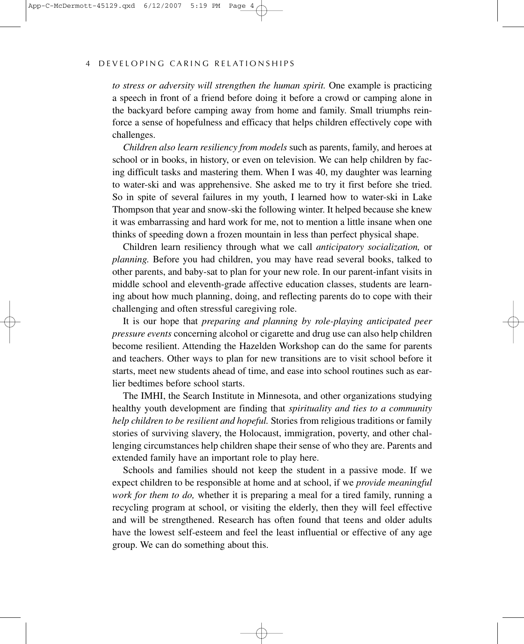#### 4 DEVELOPING CARING RELATIONSHIPS

*to stress or adversity will strengthen the human spirit.* One example is practicing a speech in front of a friend before doing it before a crowd or camping alone in the backyard before camping away from home and family. Small triumphs reinforce a sense of hopefulness and efficacy that helps children effectively cope with challenges.

*Children also learn resiliency from models* such as parents, family, and heroes at school or in books, in history, or even on television. We can help children by facing difficult tasks and mastering them. When I was 40, my daughter was learning to water-ski and was apprehensive. She asked me to try it first before she tried. So in spite of several failures in my youth, I learned how to water-ski in Lake Thompson that year and snow-ski the following winter. It helped because she knew it was embarrassing and hard work for me, not to mention a little insane when one thinks of speeding down a frozen mountain in less than perfect physical shape.

Children learn resiliency through what we call *anticipatory socialization,* or *planning.* Before you had children, you may have read several books, talked to other parents, and baby-sat to plan for your new role. In our parent-infant visits in middle school and eleventh-grade affective education classes, students are learning about how much planning, doing, and reflecting parents do to cope with their challenging and often stressful caregiving role.

It is our hope that *preparing and planning by role-playing anticipated peer pressure events* concerning alcohol or cigarette and drug use can also help children become resilient. Attending the Hazelden Workshop can do the same for parents and teachers. Other ways to plan for new transitions are to visit school before it starts, meet new students ahead of time, and ease into school routines such as earlier bedtimes before school starts.

The IMHI, the Search Institute in Minnesota, and other organizations studying healthy youth development are finding that *spirituality and ties to a community help children to be resilient and hopeful.* Stories from religious traditions or family stories of surviving slavery, the Holocaust, immigration, poverty, and other challenging circumstances help children shape their sense of who they are. Parents and extended family have an important role to play here.

Schools and families should not keep the student in a passive mode. If we expect children to be responsible at home and at school, if we *provide meaningful work for them to do,* whether it is preparing a meal for a tired family, running a recycling program at school, or visiting the elderly, then they will feel effective and will be strengthened. Research has often found that teens and older adults have the lowest self-esteem and feel the least influential or effective of any age group. We can do something about this.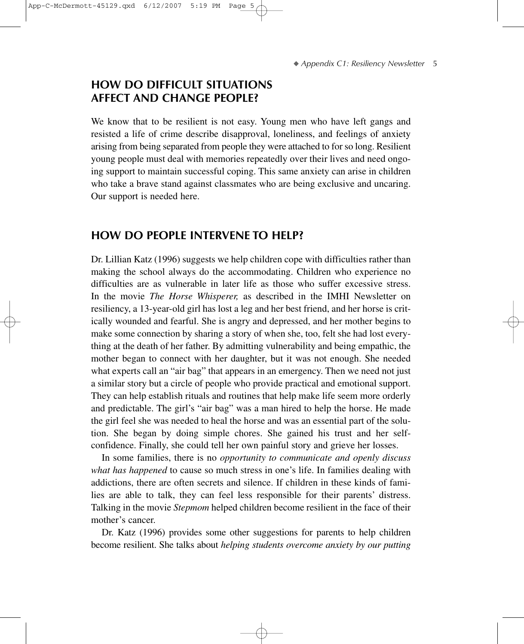## **HOW DO DIFFICULT SITUATIONS AFFECT AND CHANGE PEOPLE?**

We know that to be resilient is not easy. Young men who have left gangs and resisted a life of crime describe disapproval, loneliness, and feelings of anxiety arising from being separated from people they were attached to for so long. Resilient young people must deal with memories repeatedly over their lives and need ongoing support to maintain successful coping. This same anxiety can arise in children who take a brave stand against classmates who are being exclusive and uncaring. Our support is needed here.

## **HOW DO PEOPLE INTERVENE TO HELP?**

Dr. Lillian Katz (1996) suggests we help children cope with difficulties rather than making the school always do the accommodating. Children who experience no difficulties are as vulnerable in later life as those who suffer excessive stress. In the movie *The Horse Whisperer,* as described in the IMHI Newsletter on resiliency, a 13-year-old girl has lost a leg and her best friend, and her horse is critically wounded and fearful. She is angry and depressed, and her mother begins to make some connection by sharing a story of when she, too, felt she had lost everything at the death of her father. By admitting vulnerability and being empathic, the mother began to connect with her daughter, but it was not enough. She needed what experts call an "air bag" that appears in an emergency. Then we need not just a similar story but a circle of people who provide practical and emotional support. They can help establish rituals and routines that help make life seem more orderly and predictable. The girl's "air bag" was a man hired to help the horse. He made the girl feel she was needed to heal the horse and was an essential part of the solution. She began by doing simple chores. She gained his trust and her selfconfidence. Finally, she could tell her own painful story and grieve her losses.

In some families, there is no *opportunity to communicate and openly discuss what has happened* to cause so much stress in one's life. In families dealing with addictions, there are often secrets and silence. If children in these kinds of families are able to talk, they can feel less responsible for their parents' distress. Talking in the movie *Stepmom* helped children become resilient in the face of their mother's cancer.

Dr. Katz (1996) provides some other suggestions for parents to help children become resilient. She talks about *helping students overcome anxiety by our putting*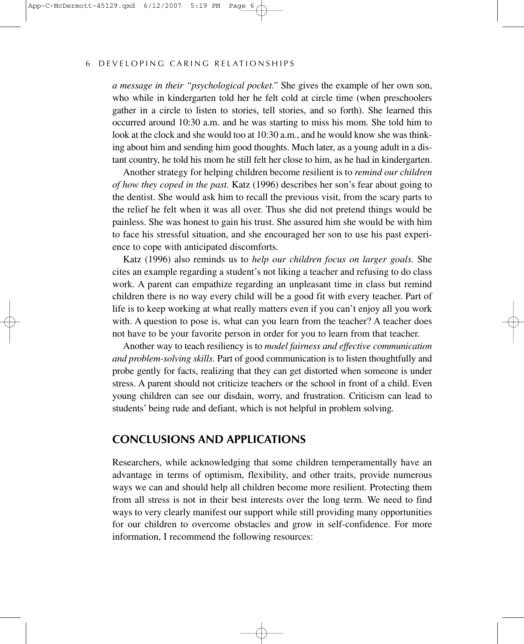#### 6 DEVELOPING CARING RELATIONSHIPS

*a message in their "psychological pocket."* She gives the example of her own son, who while in kindergarten told her he felt cold at circle time (when preschoolers gather in a circle to listen to stories, tell stories, and so forth). She learned this occurred around 10:30 a.m. and he was starting to miss his mom. She told him to look at the clock and she would too at 10:30 a.m., and he would know she was thinking about him and sending him good thoughts. Much later, as a young adult in a distant country, he told his mom he still felt her close to him, as he had in kindergarten.

Another strategy for helping children become resilient is to *remind our children of how they coped in the past.* Katz (1996) describes her son's fear about going to the dentist. She would ask him to recall the previous visit, from the scary parts to the relief he felt when it was all over. Thus she did not pretend things would be painless. She was honest to gain his trust. She assured him she would be with him to face his stressful situation, and she encouraged her son to use his past experience to cope with anticipated discomforts.

Katz (1996) also reminds us to *help our children focus on larger goals.* She cites an example regarding a student's not liking a teacher and refusing to do class work. A parent can empathize regarding an unpleasant time in class but remind children there is no way every child will be a good fit with every teacher. Part of life is to keep working at what really matters even if you can't enjoy all you work with. A question to pose is, what can you learn from the teacher? A teacher does not have to be your favorite person in order for you to learn from that teacher.

Another way to teach resiliency is to *model fairness and effective communication and problem-solving skills*. Part of good communication is to listen thoughtfully and probe gently for facts, realizing that they can get distorted when someone is under stress. A parent should not criticize teachers or the school in front of a child. Even young children can see our disdain, worry, and frustration. Criticism can lead to students' being rude and defiant, which is not helpful in problem solving.

## **CONCLUSIONS AND APPLICATIONS**

Researchers, while acknowledging that some children temperamentally have an advantage in terms of optimism, flexibility, and other traits, provide numerous ways we can and should help all children become more resilient. Protecting them from all stress is not in their best interests over the long term. We need to find ways to very clearly manifest our support while still providing many opportunities for our children to overcome obstacles and grow in self-confidence. For more information, I recommend the following resources: